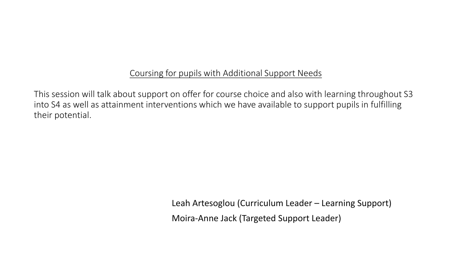## Coursing for pupils with Additional Support Needs

This session will talk about support on offer for course choice and also with learning throughout S3 into S4 as well as attainment interventions which we have available to support pupils in fulfilling their potential.

> Leah Artesoglou (Curriculum Leader – Learning Support) Moira-Anne Jack (Targeted Support Leader)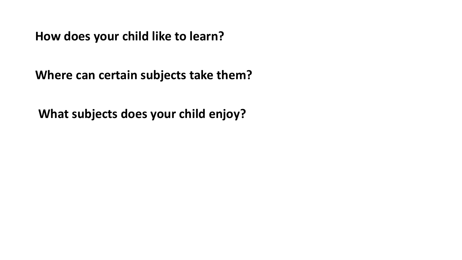**How does your child like to learn?**

**Where can certain subjects take them?**

**What subjects does your child enjoy?**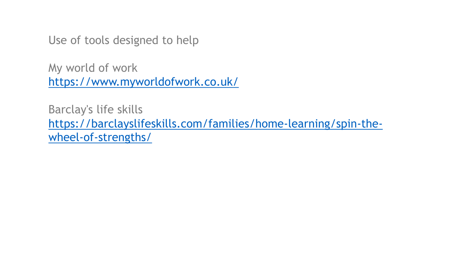Use of tools designed to help

My world of work <https://www.myworldofwork.co.uk/>

Barclay's life skills [https://barclayslifeskills.com/families/home-learning/spin-the](https://barclayslifeskills.com/families/home-learning/spin-the-wheel-of-strengths/)wheel-of-strengths/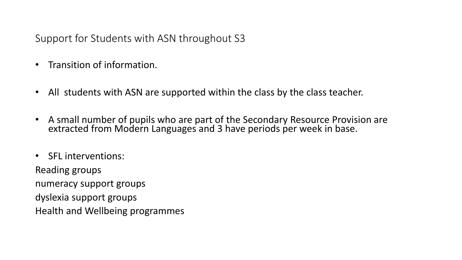Support for Students with ASN throughout S3

- Transition of information.
- All students with ASN are supported within the class by the class teacher.
- A small number of pupils who are part of the Secondary Resource Provision are extracted from Modern Languages and 3 have periods per week in base.
- SFL interventions:

Reading groups numeracy support groups dyslexia support groups Health and Wellbeing programmes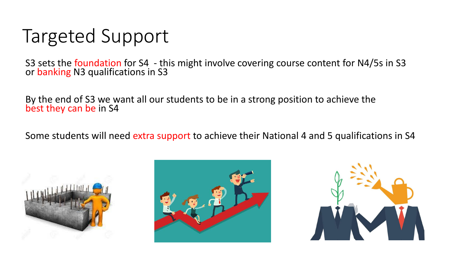## Targeted Support

S3 sets the foundation for S4 - this might involve covering course content for N4/5s in S3 or banking N3 qualifications in S3

By the end of S3 we want all our students to be in a strong position to achieve the best they can be in S4

Some students will need extra support to achieve their National 4 and 5 qualifications in S4





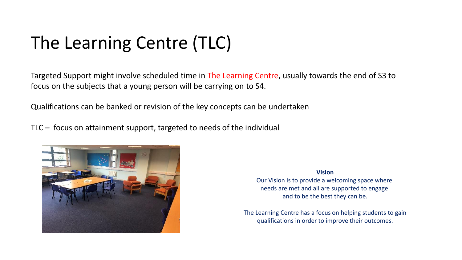## The Learning Centre (TLC)

Targeted Support might involve scheduled time in The Learning Centre, usually towards the end of S3 to focus on the subjects that a young person will be carrying on to S4.

Qualifications can be banked or revision of the key concepts can be undertaken

TLC – focus on attainment support, targeted to needs of the individual



**Vision**

Our Vision is to provide a welcoming space where needs are met and all are supported to engage and to be the best they can be.

The Learning Centre has a focus on helping students to gain qualifications in order to improve their outcomes.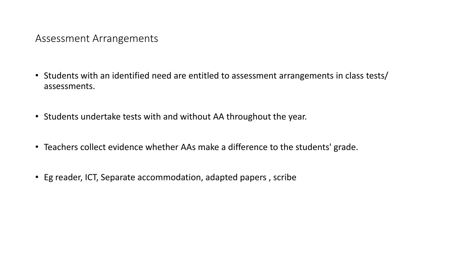Assessment Arrangements

- Students with an identified need are entitled to assessment arrangements in class tests/ assessments.
- Students undertake tests with and without AA throughout the year.
- Teachers collect evidence whether AAs make a difference to the students' grade.
- Eg reader, ICT, Separate accommodation, adapted papers , scribe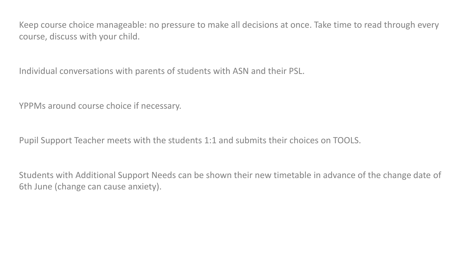Keep course choice manageable: no pressure to make all decisions at once. Take time to read through every course, discuss with your child.

Individual conversations with parents of students with ASN and their PSL.

YPPMs around course choice if necessary.

Pupil Support Teacher meets with the students 1:1 and submits their choices on TOOLS.

Students with Additional Support Needs can be shown their new timetable in advance of the change date of 6th June (change can cause anxiety).